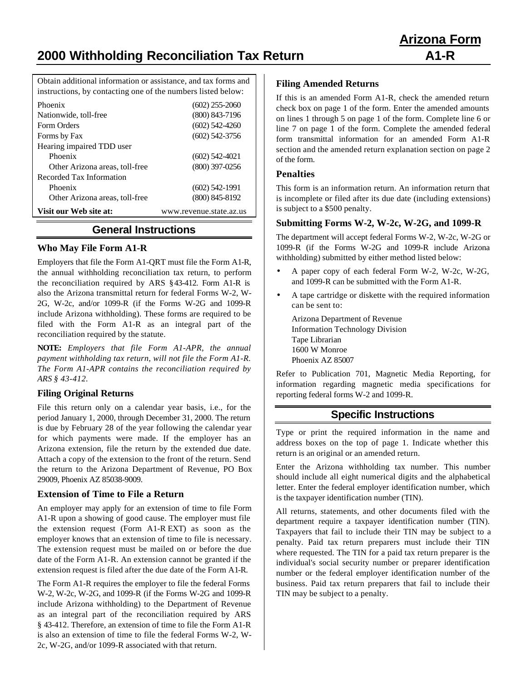# **2000 Withholding Reconciliation Tax Return A1-R**

Obtain additional information or assistance, and tax forms and instructions, by contacting one of the numbers listed below:

| Phoenix                        | $(602)$ 255-2060        |
|--------------------------------|-------------------------|
| Nationwide, toll-free          | $(800)$ 843-7196        |
| Form Orders                    | $(602)$ 542-4260        |
| Forms by Fax                   | $(602)$ 542-3756        |
| Hearing impaired TDD user      |                         |
| Phoenix                        | $(602)$ 542-4021        |
| Other Arizona areas, toll-free | $(800)$ 397-0256        |
| Recorded Tax Information       |                         |
| Phoenix                        | $(602)$ 542-1991        |
| Other Arizona areas, toll-free | $(800)$ 845-8192        |
| Visit our Web site at:         | www.revenue.state.az.us |

# **General Instructions**

#### **Who May File Form A1-R**

Employers that file the Form A1-QRT must file the Form A1-R, the annual withholding reconciliation tax return, to perform the reconciliation required by ARS § 43-412. Form A1-R is also the Arizona transmittal return for federal Forms W-2, W-2G, W-2c, and/or 1099-R (if the Forms W-2G and 1099-R include Arizona withholding). These forms are required to be filed with the Form A1-R as an integral part of the reconciliation required by the statute.

**NOTE:** *Employers that file Form A1-APR, the annual payment withholding tax return, will not file the Form A1-R. The Form A1-APR contains the reconciliation required by ARS § 43-412.*

#### **Filing Original Returns**

File this return only on a calendar year basis, i.e., for the period January 1, 2000, through December 31, 2000. The return is due by February 28 of the year following the calendar year for which payments were made. If the employer has an Arizona extension, file the return by the extended due date. Attach a copy of the extension to the front of the return. Send the return to the Arizona Department of Revenue, PO Box 29009, Phoenix AZ 85038-9009.

#### **Extension of Time to File a Return**

An employer may apply for an extension of time to file Form A1-R upon a showing of good cause. The employer must file the extension request (Form A1-R EXT) as soon as the employer knows that an extension of time to file is necessary. The extension request must be mailed on or before the due date of the Form A1-R. An extension cannot be granted if the extension request is filed after the due date of the Form A1-R.

The Form A1-R requires the employer to file the federal Forms W-2, W-2c, W-2G, and 1099-R (if the Forms W-2G and 1099-R include Arizona withholding) to the Department of Revenue as an integral part of the reconciliation required by ARS § 43-412. Therefore, an extension of time to file the Form A1-R is also an extension of time to file the federal Forms W-2, W-2c, W-2G, and/or 1099-R associated with that return.

#### **Filing Amended Returns**

If this is an amended Form A1-R, check the amended return check box on page 1 of the form. Enter the amended amounts on lines 1 through 5 on page 1 of the form. Complete line 6 or line 7 on page 1 of the form. Complete the amended federal form transmittal information for an amended Form A1-R section and the amended return explanation section on page 2 of the form.

# **Penalties**

This form is an information return. An information return that is incomplete or filed after its due date (including extensions) is subject to a \$500 penalty.

#### **Submitting Forms W-2, W-2c, W-2G, and 1099-R**

The department will accept federal Forms W-2, W-2c, W-2G or 1099-R (if the Forms W-2G and 1099-R include Arizona withholding) submitted by either method listed below:

- A paper copy of each federal Form W-2, W-2c, W-2G, and 1099-R can be submitted with the Form A1-R.
- A tape cartridge or diskette with the required information can be sent to:

Arizona Department of Revenue Information Technology Division Tape Librarian 1600 W Monroe Phoenix AZ 85007

Refer to Publication 701, Magnetic Media Reporting, for information regarding magnetic media specifications for reporting federal forms W-2 and 1099-R.

# **Specific Instructions**

Type or print the required information in the name and address boxes on the top of page 1. Indicate whether this return is an original or an amended return.

Enter the Arizona withholding tax number. This number should include all eight numerical digits and the alphabetical letter. Enter the federal employer identification number, which is the taxpayer identification number (TIN).

All returns, statements, and other documents filed with the department require a taxpayer identification number (TIN). Taxpayers that fail to include their TIN may be subject to a penalty. Paid tax return preparers must include their TIN where requested. The TIN for a paid tax return preparer is the individual's social security number or preparer identification number or the federal employer identification number of the business. Paid tax return preparers that fail to include their TIN may be subject to a penalty.